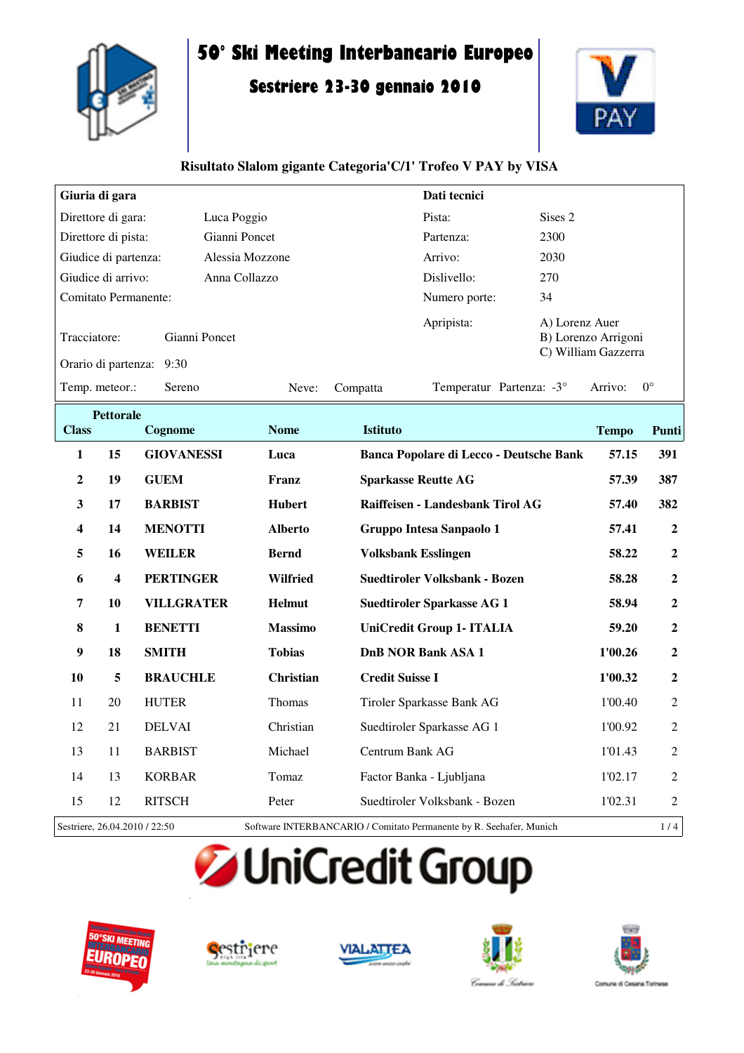

# **50° Ski Meeting Interbancario Europeo**

## **Sestriere 23-30 gennaio 2010**



#### **Risultato Slalom gigante Categoria'C/1' Trofeo V PAY by VISA**

| Giuria di gara                      |                       |                 |          | Dati tecnici             |                                                              |
|-------------------------------------|-----------------------|-----------------|----------|--------------------------|--------------------------------------------------------------|
| Direttore di gara:                  | Luca Poggio           |                 |          | Pista:                   | Sises 2                                                      |
| Direttore di pista:                 | Gianni Poncet         |                 |          |                          | 2300                                                         |
| Giudice di partenza:                |                       | Alessia Mozzone |          |                          | 2030                                                         |
| Giudice di arrivo:                  | Anna Collazzo         |                 |          | Dislivello:              | 270                                                          |
| <b>Comitato Permanente:</b>         |                       |                 |          | Numero porte:            | 34                                                           |
| Tracciatore:<br>Orario di partenza: | Gianni Poncet<br>9:30 |                 |          | Apripista:               | A) Lorenz Auer<br>B) Lorenzo Arrigoni<br>C) William Gazzerra |
| Temp. meteor.:                      | Sereno                | Neve:           | Compatta | Temperatur Partenza: -3° | $0^{\circ}$<br>Arrivo:                                       |

| <b>Pettorale</b>              |                         |                   |                                                                     |                                         |              |                  |  |
|-------------------------------|-------------------------|-------------------|---------------------------------------------------------------------|-----------------------------------------|--------------|------------------|--|
| <b>Class</b>                  |                         | Cognome           | <b>Nome</b>                                                         | <b>Istituto</b>                         | <b>Tempo</b> | Punti            |  |
| $\mathbf{1}$                  | 15                      | <b>GIOVANESSI</b> | Luca                                                                | Banca Popolare di Lecco - Deutsche Bank | 57.15        | 391              |  |
| $\boldsymbol{2}$              | 19                      | <b>GUEM</b>       | Franz                                                               | <b>Sparkasse Reutte AG</b>              | 57.39        | 387              |  |
| $\mathbf{3}$                  | 17                      | <b>BARBIST</b>    | <b>Hubert</b>                                                       | Raiffeisen - Landesbank Tirol AG        | 57.40        | 382              |  |
| $\overline{\mathbf{4}}$       | 14                      | <b>MENOTTI</b>    | <b>Alberto</b>                                                      | Gruppo Intesa Sanpaolo 1                | 57.41        | $\boldsymbol{2}$ |  |
| 5                             | 16                      | <b>WEILER</b>     | <b>Bernd</b>                                                        | <b>Volksbank Esslingen</b>              | 58.22        | $\boldsymbol{2}$ |  |
| 6                             | $\overline{\mathbf{4}}$ | <b>PERTINGER</b>  | <b>Wilfried</b>                                                     | <b>Suedtiroler Volksbank - Bozen</b>    | 58.28        | $\boldsymbol{2}$ |  |
| $\overline{7}$                | 10                      | <b>VILLGRATER</b> | <b>Helmut</b>                                                       | <b>Suedtiroler Sparkasse AG 1</b>       | 58.94        | $\boldsymbol{2}$ |  |
| 8                             | 1                       | <b>BENETTI</b>    | <b>Massimo</b>                                                      | UniCredit Group 1- ITALIA               | 59.20        | $\boldsymbol{2}$ |  |
| 9                             | 18                      | <b>SMITH</b>      | <b>Tobias</b>                                                       | <b>DnB NOR Bank ASA 1</b>               | 1'00.26      | $\boldsymbol{2}$ |  |
| 10                            | 5                       | <b>BRAUCHLE</b>   | <b>Christian</b>                                                    | <b>Credit Suisse I</b>                  | 1'00.32      | $\overline{2}$   |  |
| 11                            | 20                      | <b>HUTER</b>      | Thomas                                                              | Tiroler Sparkasse Bank AG               | 1'00.40      | $\overline{2}$   |  |
| 12                            | 21                      | <b>DELVAI</b>     | Christian                                                           | Suedtiroler Sparkasse AG 1              | 1'00.92      | $\overline{2}$   |  |
| 13                            | 11                      | <b>BARBIST</b>    | Michael                                                             | Centrum Bank AG                         | 1'01.43      | $\overline{2}$   |  |
| 14                            | 13                      | <b>KORBAR</b>     | Tomaz                                                               | Factor Banka - Ljubljana                | 1'02.17      | $\overline{2}$   |  |
| 15                            | 12                      | <b>RITSCH</b>     | Peter                                                               | Suedtiroler Volksbank - Bozen           | 1'02.31      | $\overline{2}$   |  |
| Sestriere, 26.04.2010 / 22:50 |                         |                   | Software INTERBANCARIO / Comitato Permanente by R. Seehafer, Munich |                                         |              | 1/4              |  |

**JUniCredit Group** 









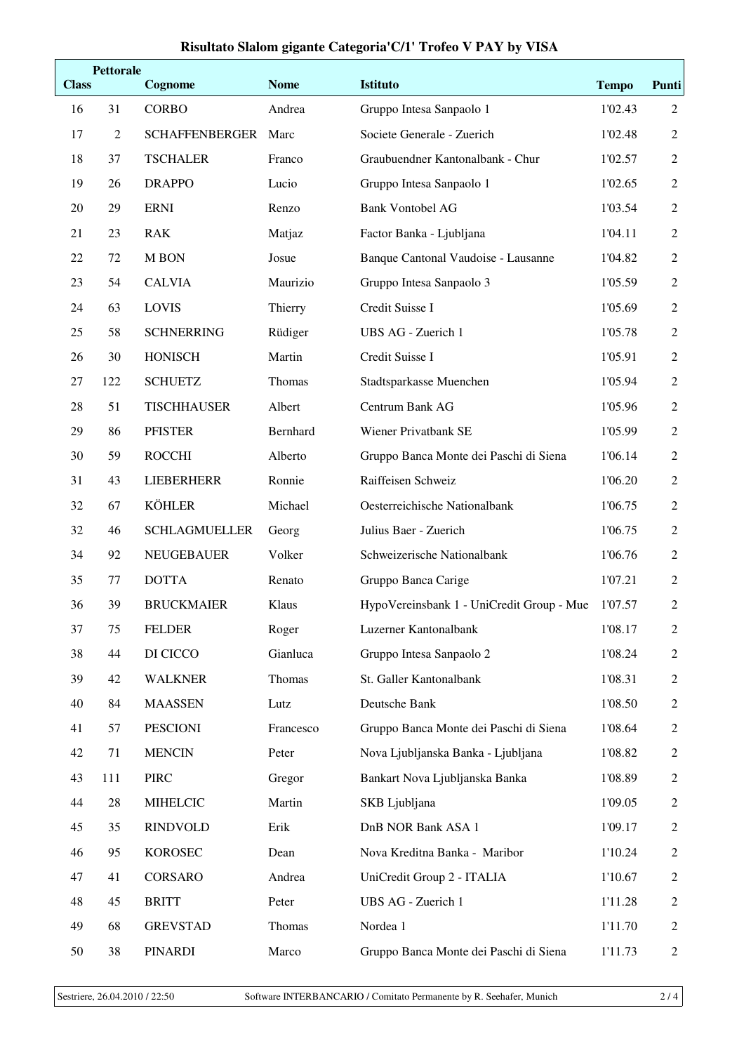### **Risultato Slalom gigante Categoria'C/1' Trofeo V PAY by VISA**

| <b>Class</b> | <b>Pettorale</b> | Cognome               | <b>Nome</b> | <b>Istituto</b>                           | <b>Tempo</b> | <b>Punti</b>   |
|--------------|------------------|-----------------------|-------------|-------------------------------------------|--------------|----------------|
| 16           | 31               | <b>CORBO</b>          | Andrea      | Gruppo Intesa Sanpaolo 1                  | 1'02.43      | $\overline{2}$ |
| 17           | 2                | <b>SCHAFFENBERGER</b> | Marc        | Societe Generale - Zuerich                | 1'02.48      | $\overline{2}$ |
| 18           | 37               | <b>TSCHALER</b>       | Franco      | Graubuendner Kantonalbank - Chur          | 1'02.57      | $\mathbf{2}$   |
| 19           | 26               | <b>DRAPPO</b>         | Lucio       | Gruppo Intesa Sanpaolo 1                  | 1'02.65      | $\overline{2}$ |
| 20           | 29               | <b>ERNI</b>           | Renzo       | <b>Bank Vontobel AG</b>                   | 1'03.54      | $\overline{2}$ |
| 21           | 23               | <b>RAK</b>            | Matjaz      | Factor Banka - Ljubljana                  | 1'04.11      | $\mathbf{2}$   |
| 22           | 72               | M BON                 | Josue       | Banque Cantonal Vaudoise - Lausanne       | 1'04.82      | $\overline{2}$ |
| 23           | 54               | <b>CALVIA</b>         | Maurizio    | Gruppo Intesa Sanpaolo 3                  | 1'05.59      | $\mathbf{2}$   |
| 24           | 63               | <b>LOVIS</b>          | Thierry     | Credit Suisse I                           | 1'05.69      | $\sqrt{2}$     |
| 25           | 58               | <b>SCHNERRING</b>     | Rüdiger     | UBS AG - Zuerich 1                        | 1'05.78      | $\overline{2}$ |
| 26           | 30               | <b>HONISCH</b>        | Martin      | Credit Suisse I                           | 1'05.91      | $\overline{2}$ |
| 27           | 122              | <b>SCHUETZ</b>        | Thomas      | Stadtsparkasse Muenchen                   | 1'05.94      | $\sqrt{2}$     |
| 28           | 51               | <b>TISCHHAUSER</b>    | Albert      | Centrum Bank AG                           | 1'05.96      | $\overline{2}$ |
| 29           | 86               | <b>PFISTER</b>        | Bernhard    | Wiener Privatbank SE                      | 1'05.99      | $\overline{2}$ |
| 30           | 59               | <b>ROCCHI</b>         | Alberto     | Gruppo Banca Monte dei Paschi di Siena    | 1'06.14      | $\mathbf{2}$   |
| 31           | 43               | <b>LIEBERHERR</b>     | Ronnie      | Raiffeisen Schweiz                        | 1'06.20      | $\overline{2}$ |
| 32           | 67               | <b>KÖHLER</b>         | Michael     | Oesterreichische Nationalbank             | 1'06.75      | $\overline{2}$ |
| 32           | 46               | <b>SCHLAGMUELLER</b>  | Georg       | Julius Baer - Zuerich                     | 1'06.75      | $\mathbf{2}$   |
| 34           | 92               | <b>NEUGEBAUER</b>     | Volker      | Schweizerische Nationalbank               | 1'06.76      | $\overline{2}$ |
| 35           | 77               | <b>DOTTA</b>          | Renato      | Gruppo Banca Carige                       | 1'07.21      | $\overline{2}$ |
| 36           | 39               | <b>BRUCKMAIER</b>     | Klaus       | HypoVereinsbank 1 - UniCredit Group - Mue | 1'07.57      | $\sqrt{2}$     |
| 37           | 75               | <b>FELDER</b>         | Roger       | Luzerner Kantonalbank                     | 1'08.17      | $\sqrt{2}$     |
| 38           | 44               | DI CICCO              | Gianluca    | Gruppo Intesa Sanpaolo 2                  | 1'08.24      | $\overline{2}$ |
| 39           | 42               | <b>WALKNER</b>        | Thomas      | St. Galler Kantonalbank                   | 1'08.31      | $\overline{2}$ |
| 40           | 84               | <b>MAASSEN</b>        | Lutz        | Deutsche Bank                             | 1'08.50      | $\overline{2}$ |
| 41           | 57               | <b>PESCIONI</b>       | Francesco   | Gruppo Banca Monte dei Paschi di Siena    | 1'08.64      | $\overline{2}$ |
| 42           | 71               | <b>MENCIN</b>         | Peter       | Nova Ljubljanska Banka - Ljubljana        | 1'08.82      | $\mathbf{2}$   |
| 43           | 111              | <b>PIRC</b>           | Gregor      | Bankart Nova Ljubljanska Banka            | 1'08.89      | $\mathbf{2}$   |
| 44           | 28               | <b>MIHELCIC</b>       | Martin      | SKB Ljubljana                             | 1'09.05      | $\mathbf{2}$   |
| 45           | 35               | <b>RINDVOLD</b>       | Erik        | DnB NOR Bank ASA 1                        | 1'09.17      | $\overline{2}$ |
| 46           | 95               | <b>KOROSEC</b>        | Dean        | Nova Kreditna Banka - Maribor             | 1'10.24      | $\mathbf{2}$   |
| 47           | 41               | CORSARO               | Andrea      | UniCredit Group 2 - ITALIA                | 1'10.67      | $\overline{2}$ |
| 48           | 45               | <b>BRITT</b>          | Peter       | UBS AG - Zuerich 1                        | 1'11.28      | 2              |
| 49           | 68               | <b>GREVSTAD</b>       | Thomas      | Nordea 1                                  | 1'11.70      | $\overline{2}$ |
| 50           | 38               | <b>PINARDI</b>        | Marco       | Gruppo Banca Monte dei Paschi di Siena    | 1'11.73      | $\overline{2}$ |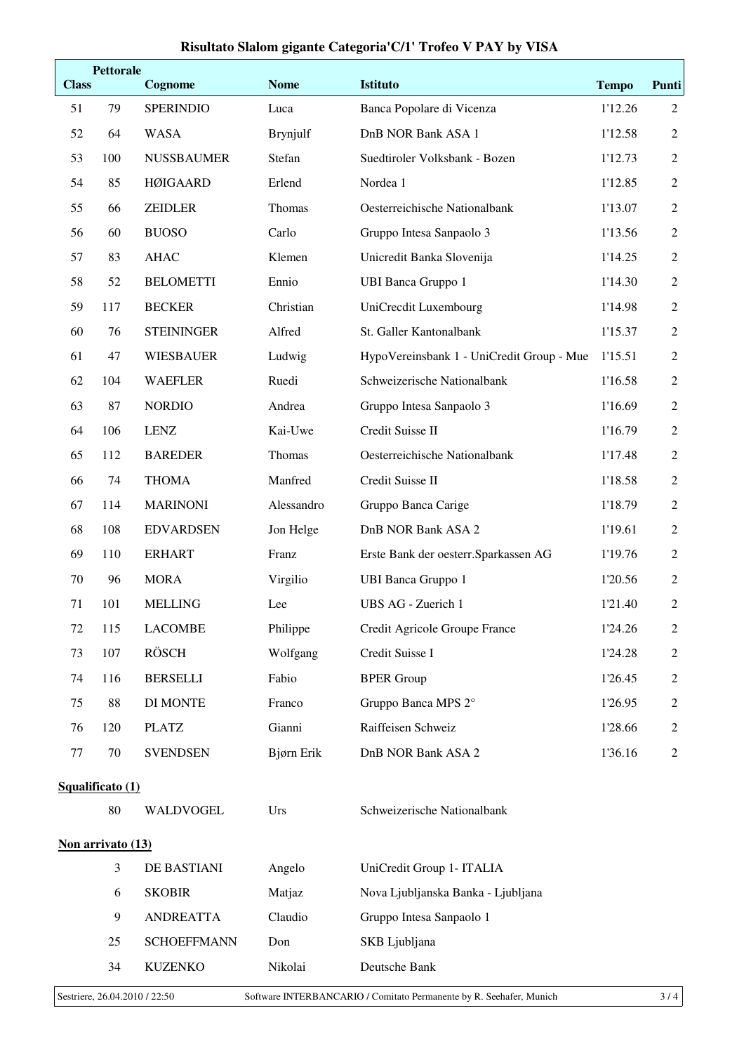#### **Risultato Slalom gigante Categoria'C/1' Trofeo V PAY by VISA**

| <b>Class</b>                  | <b>Pettorale</b>  | Cognome            | <b>Nome</b>     | <b>Istituto</b>                                                     | <b>Tempo</b> | <b>Punti</b>   |
|-------------------------------|-------------------|--------------------|-----------------|---------------------------------------------------------------------|--------------|----------------|
| 51                            | 79                | <b>SPERINDIO</b>   | Luca            | Banca Popolare di Vicenza                                           | 1'12.26      | $\overline{2}$ |
| 52                            | 64                | <b>WASA</b>        | <b>Brynjulf</b> | DnB NOR Bank ASA 1                                                  | 1'12.58      | $\overline{2}$ |
| 53                            | 100               | <b>NUSSBAUMER</b>  | Stefan          | Suedtiroler Volksbank - Bozen                                       | 1'12.73      | $\overline{2}$ |
| 54                            | 85                | <b>HØIGAARD</b>    | Erlend          | Nordea 1                                                            | 1'12.85      | 2              |
| 55                            | 66                | <b>ZEIDLER</b>     | Thomas          | Oesterreichische Nationalbank                                       | 1'13.07      | 2              |
| 56                            | 60                | <b>BUOSO</b>       | Carlo           | Gruppo Intesa Sanpaolo 3                                            | 1'13.56      | $\overline{2}$ |
| 57                            | 83                | <b>AHAC</b>        | Klemen          | Unicredit Banka Slovenija                                           | 1'14.25      | $\overline{2}$ |
| 58                            | 52                | <b>BELOMETTI</b>   | Ennio           | <b>UBI Banca Gruppo 1</b>                                           | 1'14.30      | 2              |
| 59                            | 117               | <b>BECKER</b>      | Christian       | UniCrecdit Luxembourg                                               | 1'14.98      | $\overline{2}$ |
| 60                            | 76                | <b>STEININGER</b>  | Alfred          | St. Galler Kantonalbank                                             | 1'15.37      | $\overline{2}$ |
| 61                            | 47                | <b>WIESBAUER</b>   | Ludwig          | HypoVereinsbank 1 - UniCredit Group - Mue                           | 1'15.51      | $\overline{2}$ |
| 62                            | 104               | <b>WAEFLER</b>     | Ruedi           | Schweizerische Nationalbank                                         | 1'16.58      | $\overline{2}$ |
| 63                            | 87                | <b>NORDIO</b>      | Andrea          | Gruppo Intesa Sanpaolo 3                                            | 1'16.69      | $\overline{2}$ |
| 64                            | 106               | <b>LENZ</b>        | Kai-Uwe         | Credit Suisse II                                                    | 1'16.79      | $\overline{2}$ |
| 65                            | 112               | <b>BAREDER</b>     | Thomas          | Oesterreichische Nationalbank                                       | 1'17.48      | $\overline{2}$ |
| 66                            | 74                | <b>THOMA</b>       | Manfred         | Credit Suisse II                                                    | 1'18.58      | $\overline{2}$ |
| 67                            | 114               | <b>MARINONI</b>    | Alessandro      | Gruppo Banca Carige                                                 | 1'18.79      | $\overline{2}$ |
| 68                            | 108               | <b>EDVARDSEN</b>   | Jon Helge       | DnB NOR Bank ASA 2                                                  | 1'19.61      | $\overline{2}$ |
| 69                            | 110               | <b>ERHART</b>      | Franz           | Erste Bank der oesterr. Sparkassen AG                               | 1'19.76      | $\overline{2}$ |
| 70                            | 96                | <b>MORA</b>        | Virgilio        | <b>UBI Banca Gruppo 1</b>                                           | 1'20.56      | $\overline{2}$ |
| 71                            | 101               | <b>MELLING</b>     | Lee             | UBS AG - Zuerich 1                                                  | 1'21.40      | $\mathfrak{2}$ |
| 72                            | 115               | LACOMBE            | Philippe        | Credit Agricole Groupe France                                       | 1'24.26      | 2              |
| 73                            | 107               | <b>RÖSCH</b>       | Wolfgang        | Credit Suisse I                                                     | 1'24.28      | $\overline{2}$ |
| 74                            | 116               | <b>BERSELLI</b>    | Fabio           | <b>BPER Group</b>                                                   | 1'26.45      | 2              |
| 75                            | 88                | <b>DI MONTE</b>    | Franco          | Gruppo Banca MPS 2°                                                 | 1'26.95      | $\overline{2}$ |
| 76                            | 120               | <b>PLATZ</b>       | Gianni          | Raiffeisen Schweiz                                                  | 1'28.66      | $\overline{2}$ |
| $77\,$                        | $70\,$            | <b>SVENDSEN</b>    | Bjørn Erik      | DnB NOR Bank ASA 2                                                  | 1'36.16      | $\overline{2}$ |
|                               | Squalificato (1)  |                    |                 |                                                                     |              |                |
|                               | 80                | WALDVOGEL          | Urs             | Schweizerische Nationalbank                                         |              |                |
|                               | Non arrivato (13) |                    |                 |                                                                     |              |                |
|                               | $\mathfrak{Z}$    | DE BASTIANI        | Angelo          | UniCredit Group 1- ITALIA                                           |              |                |
|                               | 6                 | <b>SKOBIR</b>      | Matjaz          | Nova Ljubljanska Banka - Ljubljana                                  |              |                |
|                               | 9                 | <b>ANDREATTA</b>   | Claudio         | Gruppo Intesa Sanpaolo 1                                            |              |                |
|                               | 25                | <b>SCHOEFFMANN</b> | Don             | SKB Ljubljana                                                       |              |                |
|                               | 34                | <b>KUZENKO</b>     | Nikolai         | Deutsche Bank                                                       |              |                |
| Sestriere, 26.04.2010 / 22:50 |                   |                    |                 | Software INTERBANCARIO / Comitato Permanente by R. Seehafer, Munich |              | 3/4            |